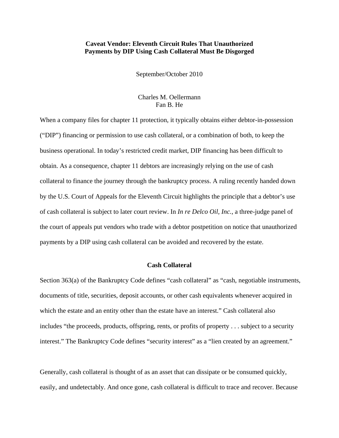### **Caveat Vendor: Eleventh Circuit Rules That Unauthorized Payments by DIP Using Cash Collateral Must Be Disgorged**

September/October 2010

# Charles M. Oellermann Fan B. He

When a company files for chapter 11 protection, it typically obtains either debtor-in-possession ("DIP") financing or permission to use cash collateral, or a combination of both, to keep the business operational. In today's restricted credit market, DIP financing has been difficult to obtain. As a consequence, chapter 11 debtors are increasingly relying on the use of cash collateral to finance the journey through the bankruptcy process. A ruling recently handed down by the U.S. Court of Appeals for the Eleventh Circuit highlights the principle that a debtor's use of cash collateral is subject to later court review. In *In re Delco Oil, Inc.*, a three-judge panel of the court of appeals put vendors who trade with a debtor postpetition on notice that unauthorized payments by a DIP using cash collateral can be avoided and recovered by the estate.

## **Cash Collateral**

Section 363(a) of the Bankruptcy Code defines "cash collateral" as "cash, negotiable instruments, documents of title, securities, deposit accounts, or other cash equivalents whenever acquired in which the estate and an entity other than the estate have an interest." Cash collateral also includes "the proceeds, products, offspring, rents, or profits of property . . . subject to a security interest." The Bankruptcy Code defines "security interest" as a "lien created by an agreement."

Generally, cash collateral is thought of as an asset that can dissipate or be consumed quickly, easily, and undetectably. And once gone, cash collateral is difficult to trace and recover. Because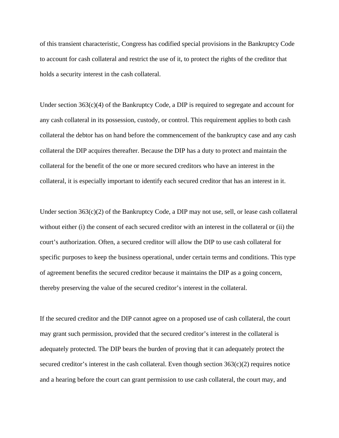of this transient characteristic, Congress has codified special provisions in the Bankruptcy Code to account for cash collateral and restrict the use of it, to protect the rights of the creditor that holds a security interest in the cash collateral.

Under section 363(c)(4) of the Bankruptcy Code, a DIP is required to segregate and account for any cash collateral in its possession, custody, or control. This requirement applies to both cash collateral the debtor has on hand before the commencement of the bankruptcy case and any cash collateral the DIP acquires thereafter. Because the DIP has a duty to protect and maintain the collateral for the benefit of the one or more secured creditors who have an interest in the collateral, it is especially important to identify each secured creditor that has an interest in it.

Under section  $363(c)(2)$  of the Bankruptcy Code, a DIP may not use, sell, or lease cash collateral without either (i) the consent of each secured creditor with an interest in the collateral or (ii) the court's authorization. Often, a secured creditor will allow the DIP to use cash collateral for specific purposes to keep the business operational, under certain terms and conditions. This type of agreement benefits the secured creditor because it maintains the DIP as a going concern, thereby preserving the value of the secured creditor's interest in the collateral.

If the secured creditor and the DIP cannot agree on a proposed use of cash collateral, the court may grant such permission, provided that the secured creditor's interest in the collateral is adequately protected. The DIP bears the burden of proving that it can adequately protect the secured creditor's interest in the cash collateral. Even though section  $363(c)(2)$  requires notice and a hearing before the court can grant permission to use cash collateral, the court may, and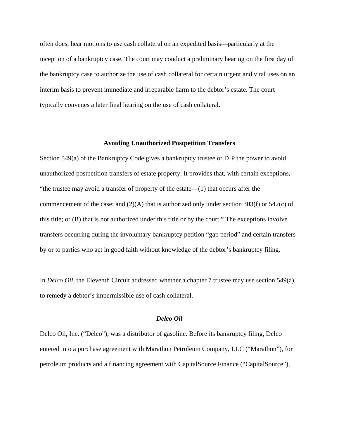often does, hear motions to use cash collateral on an expedited basis—particularly at the inception of a bankruptcy case. The court may conduct a preliminary hearing on the first day of the bankruptcy case to authorize the use of cash collateral for certain urgent and vital uses on an interim basis to prevent immediate and irreparable harm to the debtor's estate. The court typically convenes a later final hearing on the use of cash collateral.

#### **Avoiding Unauthorized Postpetition Transfers**

Section 549(a) of the Bankruptcy Code gives a bankruptcy trustee or DIP the power to avoid unauthorized postpetition transfers of estate property. It provides that, with certain exceptions, "the trustee may avoid a transfer of property of the estate—(1) that occurs after the commencement of the case; and  $(2)(A)$  that is authorized only under section 303(f) or 542(c) of this title; or (B) that is not authorized under this title or by the court." The exceptions involve transfers occurring during the involuntary bankruptcy petition "gap period" and certain transfers by or to parties who act in good faith without knowledge of the debtor's bankruptcy filing.

In *Delco Oil*, the Eleventh Circuit addressed whether a chapter 7 trustee may use section 549(a) to remedy a debtor's impermissible use of cash collateral.

### *Delco Oil*

Delco Oil, Inc. ("Delco"), was a distributor of gasoline. Before its bankruptcy filing, Delco entered into a purchase agreement with Marathon Petroleum Company, LLC ("Marathon"), for petroleum products and a financing agreement with CapitalSource Finance ("CapitalSource"),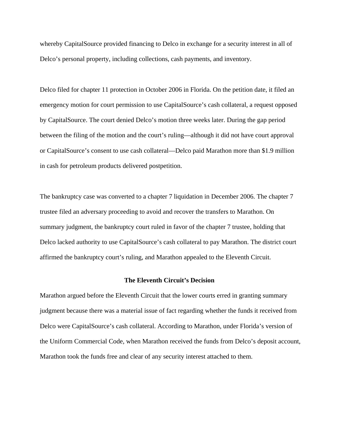whereby CapitalSource provided financing to Delco in exchange for a security interest in all of Delco's personal property, including collections, cash payments, and inventory.

Delco filed for chapter 11 protection in October 2006 in Florida. On the petition date, it filed an emergency motion for court permission to use CapitalSource's cash collateral, a request opposed by CapitalSource. The court denied Delco's motion three weeks later. During the gap period between the filing of the motion and the court's ruling—although it did not have court approval or CapitalSource's consent to use cash collateral—Delco paid Marathon more than \$1.9 million in cash for petroleum products delivered postpetition.

The bankruptcy case was converted to a chapter 7 liquidation in December 2006. The chapter 7 trustee filed an adversary proceeding to avoid and recover the transfers to Marathon. On summary judgment, the bankruptcy court ruled in favor of the chapter 7 trustee, holding that Delco lacked authority to use CapitalSource's cash collateral to pay Marathon. The district court affirmed the bankruptcy court's ruling, and Marathon appealed to the Eleventh Circuit.

### **The Eleventh Circuit's Decision**

Marathon argued before the Eleventh Circuit that the lower courts erred in granting summary judgment because there was a material issue of fact regarding whether the funds it received from Delco were CapitalSource's cash collateral. According to Marathon, under Florida's version of the Uniform Commercial Code, when Marathon received the funds from Delco's deposit account, Marathon took the funds free and clear of any security interest attached to them.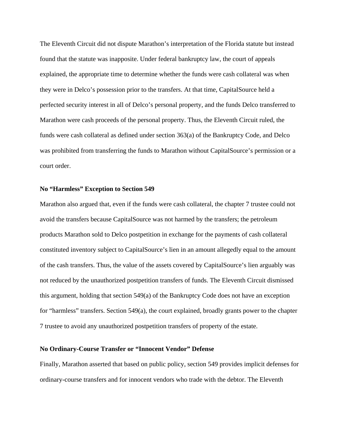The Eleventh Circuit did not dispute Marathon's interpretation of the Florida statute but instead found that the statute was inapposite. Under federal bankruptcy law, the court of appeals explained, the appropriate time to determine whether the funds were cash collateral was when they were in Delco's possession prior to the transfers. At that time, CapitalSource held a perfected security interest in all of Delco's personal property, and the funds Delco transferred to Marathon were cash proceeds of the personal property. Thus, the Eleventh Circuit ruled, the funds were cash collateral as defined under section 363(a) of the Bankruptcy Code, and Delco was prohibited from transferring the funds to Marathon without CapitalSource's permission or a court order.

#### **No "Harmless" Exception to Section 549**

Marathon also argued that, even if the funds were cash collateral, the chapter 7 trustee could not avoid the transfers because CapitalSource was not harmed by the transfers; the petroleum products Marathon sold to Delco postpetition in exchange for the payments of cash collateral constituted inventory subject to CapitalSource's lien in an amount allegedly equal to the amount of the cash transfers. Thus, the value of the assets covered by CapitalSource's lien arguably was not reduced by the unauthorized postpetition transfers of funds. The Eleventh Circuit dismissed this argument, holding that section 549(a) of the Bankruptcy Code does not have an exception for "harmless" transfers. Section 549(a), the court explained, broadly grants power to the chapter 7 trustee to avoid any unauthorized postpetition transfers of property of the estate.

#### **No Ordinary-Course Transfer or "Innocent Vendor" Defense**

Finally, Marathon asserted that based on public policy, section 549 provides implicit defenses for ordinary-course transfers and for innocent vendors who trade with the debtor. The Eleventh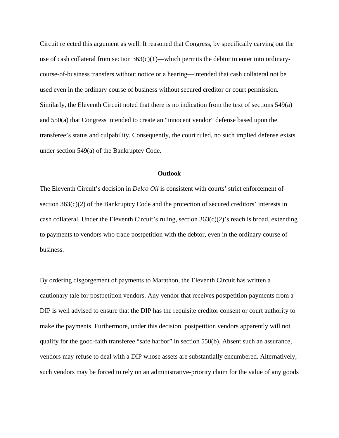Circuit rejected this argument as well. It reasoned that Congress, by specifically carving out the use of cash collateral from section  $363(c)(1)$ —which permits the debtor to enter into ordinarycourse-of-business transfers without notice or a hearing—intended that cash collateral not be used even in the ordinary course of business without secured creditor or court permission. Similarly, the Eleventh Circuit noted that there is no indication from the text of sections 549(a) and 550(a) that Congress intended to create an "innocent vendor" defense based upon the transferee's status and culpability. Consequently, the court ruled, no such implied defense exists under section 549(a) of the Bankruptcy Code.

#### **Outlook**

The Eleventh Circuit's decision in *Delco Oil* is consistent with courts' strict enforcement of section 363(c)(2) of the Bankruptcy Code and the protection of secured creditors' interests in cash collateral. Under the Eleventh Circuit's ruling, section  $363(c)(2)$ 's reach is broad, extending to payments to vendors who trade postpetition with the debtor, even in the ordinary course of business.

By ordering disgorgement of payments to Marathon, the Eleventh Circuit has written a cautionary tale for postpetition vendors. Any vendor that receives postpetition payments from a DIP is well advised to ensure that the DIP has the requisite creditor consent or court authority to make the payments. Furthermore, under this decision, postpetition vendors apparently will not qualify for the good-faith transferee "safe harbor" in section 550(b). Absent such an assurance, vendors may refuse to deal with a DIP whose assets are substantially encumbered. Alternatively, such vendors may be forced to rely on an administrative-priority claim for the value of any goods